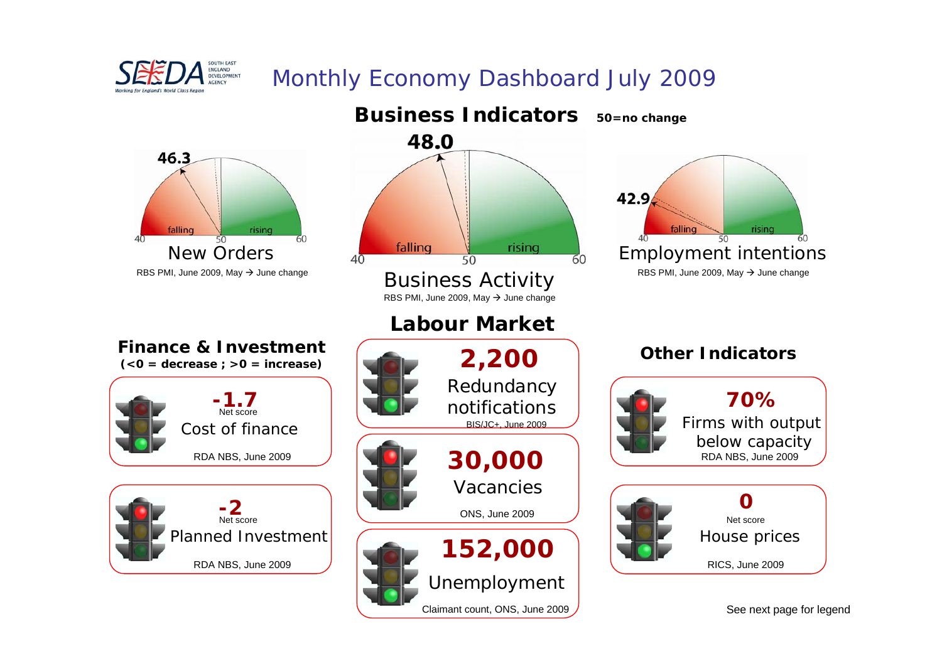

# Monthly Economy Dashboard July 2009

**Business Indicators 50=no change**





48.0

Claimant count, ONS, June 2009



**Finance & Investment**Cost of financePlanned Investment **-1.7** Net score**-2** Net scoreRDA NBS, June 2009 RDA NBS, June 2009





Firms with output below capacity **70%**RDA NBS, June 2009



See next page for legend